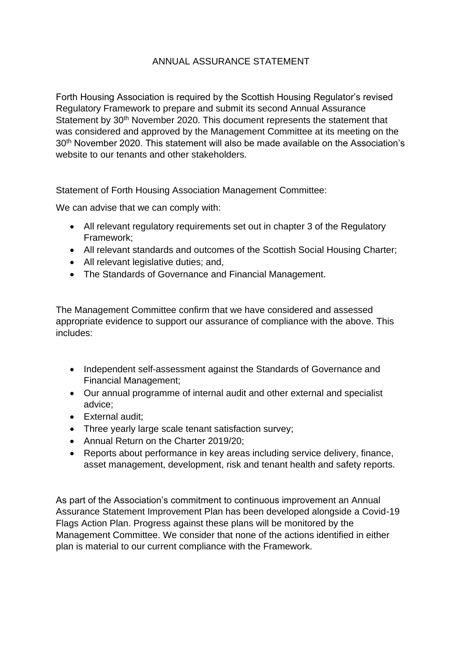## ANNUAL ASSURANCE STATEMENT

Forth Housing Association is required by the Scottish Housing Regulator's revised Regulatory Framework to prepare and submit its second Annual Assurance Statement by 30<sup>th</sup> November 2020. This document represents the statement that was considered and approved by the Management Committee at its meeting on the 30th November 2020. This statement will also be made available on the Association's website to our tenants and other stakeholders.

Statement of Forth Housing Association Management Committee:

We can advise that we can comply with:

- All relevant regulatory requirements set out in chapter 3 of the Regulatory Framework;
- All relevant standards and outcomes of the Scottish Social Housing Charter;
- All relevant legislative duties; and,
- The Standards of Governance and Financial Management.

The Management Committee confirm that we have considered and assessed appropriate evidence to support our assurance of compliance with the above. This includes:

- Independent self-assessment against the Standards of Governance and Financial Management;
- Our annual programme of internal audit and other external and specialist advice;
- External audit;
- Three yearly large scale tenant satisfaction survey;
- Annual Return on the Charter 2019/20;
- Reports about performance in key areas including service delivery, finance, asset management, development, risk and tenant health and safety reports.

As part of the Association's commitment to continuous improvement an Annual Assurance Statement Improvement Plan has been developed alongside a Covid-19 Flags Action Plan. Progress against these plans will be monitored by the Management Committee. We consider that none of the actions identified in either plan is material to our current compliance with the Framework.